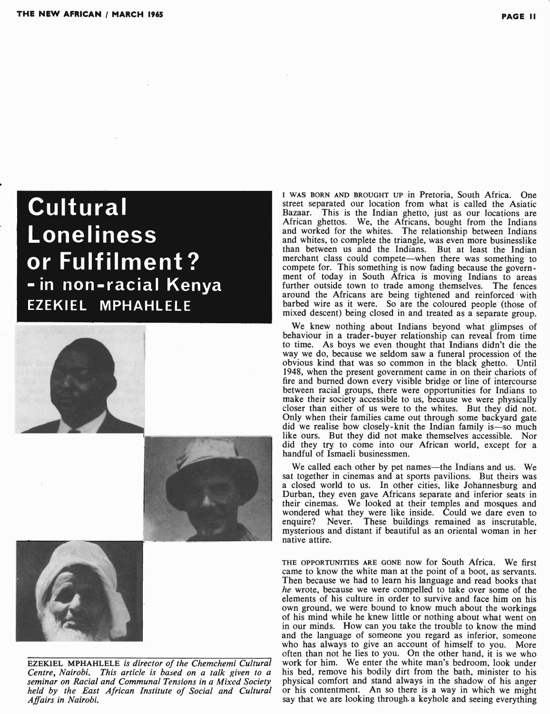## Cultural **Loneliness** or Fulfilment? - in non-racial Kenya **EZEKIEL MPHAHLELE**





EZEKIEL MPHAHLELE *is director of the Chemchemi Cultural Centre, Nairobi. This article is based on a talk given to a seminar on Racial and Communal Tensions in a Mixed Society held by the East African Institute of Social and Cultural Affairs in Nairobi.*

I WAS BORN AND BROUGHT UP in Pretoria, South Africa. One street separated our location from what is called the Asiatic Bazaar. This is the Indian ghetto, just as our locations are African ghettos. We, the Africans, bought from the Indians and worked for the whites. The relationship between Indians and whites, to complete the triangle, was even more businesslike than between us and the Indians. But at least the Indian merchant class could compete—when there was something to compete for. This something is now fading because the government of today in South Africa is moving Indians to areas further outside town to trade among themselves. The fences around the Africans are being tightened and reinforced' with barbed wire as it were. So are the coloured people (those of mixed descent) being closed in and treated as a separate group.

We knew nothing about Indians beyond what glimpses of behaviour in a trader- buyer relationship can reveal from time to time. As boys we even thought that Indians didn't die the way we do, because we seldom saw a funeral procession of the obvious kind that was so common in the black ghetto. Until 1948, when the present government came in on their chariots of fire and burned down every visible bridge or line of intercourse between racial groups, there were opportunities for Indians to make their society accessible to us, because we were physically closer than either of us were to the whites. But they did not. Only when their families came out through some backyard gate did we realise how closely-knit the Indian family is-so much like ours. But they did not make themselves accessible. Nor did they try to come into our African world, except for a handful of Ismaeli businessmen.

We called each other by pet names--the Indians and us. We sat together in cinemas and at sports pavilions. But theirs was a closed world to us. In other cities, like Johannesburg and Durban, they even gaye Africans separate and inferior seats in their cinemas. We looked at their temples and mosques and wondered what they were like inside. Could we dare even to enquire? Never. These buildings remained as inscrutable, mysterious and distant if beautiful as an oriental woman in her native attire.

THE OPPORTUNITIES ARE GONE now for South Africa. We first came to know the white man at the point of a boot, as servants. Then because we had to learn his language and read books that *he* wrote, because we were compelled to take over some of the elements of his culture in order to survive and face him on his own ground, we were bound to know much about the workings of his mind while he knew little or nothing about what went on in our minds. How can you take the trouble to know the mind and the language of someone you regard as inferior, someone who has always to give an account of himself to you. More often than not he lies to you. On the other hand, it is we who work for him. We enter the white man's bedroom, look under his bed, remove his bodily dirt from the bath, minister to his physical comfort and stand always in the shadow of his anger or his contentment. An so there is a way in which we might say that we are looking through a keyhole and seeing everything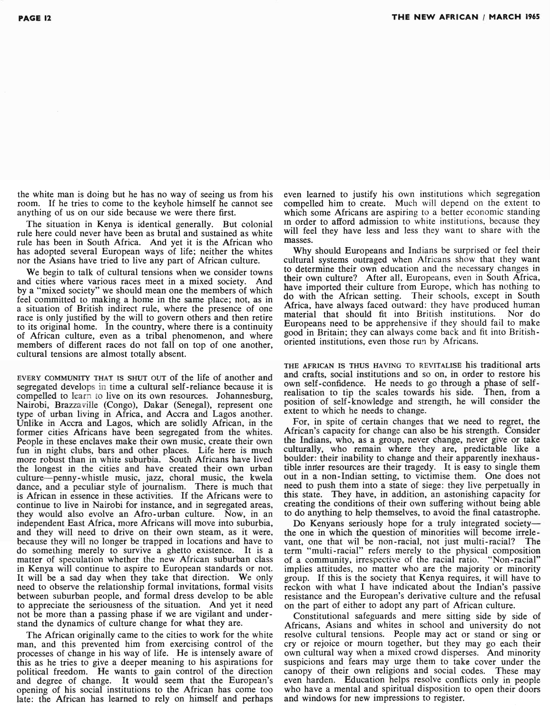the white man is doing but he has no way of seeing us from his room. If he tries to come to the keyhole himself he cannot see anything of us on our side because we were there first.

The situation in Kenya is identical generally. But colonial rule here could never have been as brutal and sustained as white rule has been in South Africa. And yet it is the African who has adopted several European ways of life; neither the whites nor the Asians have tried to live any part of African culture.

We begin to talk of cultural tensions when we consider towns and cities where various races meet in a mixed society. And by a "mixed society" we should mean one the members of which feel committed to making a home in the same place; not, as in a situation of British indirect rule, where the presence of one race is only justified by the will to govern others and then retire to its original home. In the country, where there is a continuity of African culture, even as a tribal phenomenon, and where members of different races do not fall on top of one another, cultural tensions are almost totally absent.

EVERY COMMUNITY THAT IS SHUT OUT of the life of another and segregated develops in time a cultural self-reliance because it is compelled to learn to live on its own resources. Johannesburg, Nairobi, Brazzaville (Congo), Dakar (Senegal), represent one type of urban living in Africa, and Accra and Lagos another. Unlike in Accra and Lagos, which are solidly African, in the former cities Africans have been segregated from the whites. People in these enclaves make their own music, create their own fun in night clubs, bars and other places. Life here is much more robust than in white suburbia. South Africans have lived the longest in the cities and have created their own urban culture-penny-whistle music, jazz, choral music, the kwela dance, and a peculiar style of journalism. There is much that is African in essence in these activities. If the Africans were to continue to live in Nairobi for instance, and in segregated areas, they would also evolve an Afro-urban culture. Now, in an independent East Africa, more Africans will move into supurbia, and they will need to drive on their own steam, as it were, because they will no longer be trapped in locations and have to do something merely to survive a ghetto existence. It is a matter of speculation whether the new African suburban class in Kenya will continue to aspire to European standards or not. It will be a sad day when they take that direction. We only need to observe the relationship formal invitations, formal visits between suburban people, and formal dress develop to be able to appreciate the seriousness of the situation. And yet it need not be more than a passing phase if we are vigilant and understand the dynamics of culture change for what they are.

The African originally came to the cities to work for the white man, and this prevented him from exercising control of the processes of change in his way of life. He is intensely aware of this as he tries to give a deeper meaning to his aspirations for political freedom. He wants to gain control of the direction and degree of change. It would seem that the European's opening of his social institutions to the African has come too late: the African has learned to rely on himself and perhaps

even learned to justify his own institutions which segregation compelled him to create. Much will depend on the extent to which some Africans are aspiring to a better economic standing In order to afford admission to white institutions, because they will feel they have less and less they want to share with the masses.

Why should Europeans and Indians be surprised or feel their cultural systems outraged when Africans show that they want to determine their own education and the necessary changes in their own culture? After all, Europeans, even in South Africa, have imported their culture from Europe, which has nothing to do with the African setting. Their schools, except in South Africa, have always faced outward: they have produced human material that should fit into British institutions. Nor do Europeans need to be apprehensive if they should fail to make good in Britain; they can always come back and fit into Britishoriented institutions, even those run by Africans.

THE AFRICAN IS THUS HAVING TO REVITALISE his traditional arts and crafts, social institutions and so on, in order to restore his own self-confidence. He needs to go through a phase of selfrealisation to tip the scales towards his side. Then, from a position of self-knowledge and strength, he will consider the extent to which he needs to change.

For, in spite of certain changes that we need to regret, the African's capacity for change can also be his strength. Consider the Indians, who, as a group, never change, never give or take culturally, who remain where they are, predictable like a boulder: their inability to change and their apparently inexhaustible inner resources are their tragedy. It is easy to single them out in a non-Indian setting, to victimise them. One does not need to push them into a state of siege: they live. perpetually in this state. They have, in addition, an astonishing capacity for creating the conditions of their own suffering without being able to do anything to help themselves, to avoid the final catastrophe.

Do Kenyans seriously hope for a truly integrated societythe one in which the question of minorities will become irrelevant, one that wil be non-racial, not just multi-racial? The term "multi-racial" refers merely to the physical composition of a community, irrespective of the racial ratio. "Non-racial" implies attitudes, no matter who are the majority or minority group. If this is the society that Kenya requires, it will have to reckon with what I have indicated about the Indian's passive resistance and the European's derivative culture and the refusal on the part of either to adopt any part of African culture.

Constitutional safeguards and mere sitting side by side of Africans, Asians and whites in school and university do not resolve cultural tensions. People may act or stand or sing or cry or rejoice or mourn together, but they may go each their own cultural way when a mixed crowd disperses. And minority suspicions and fears may urge them to take cover under the canopy of their own religions and social codes. These may even harden. Education helps resolve conflicts only in people who have a mental and spiritual disposition to open their doors and windows for new impressions to register.